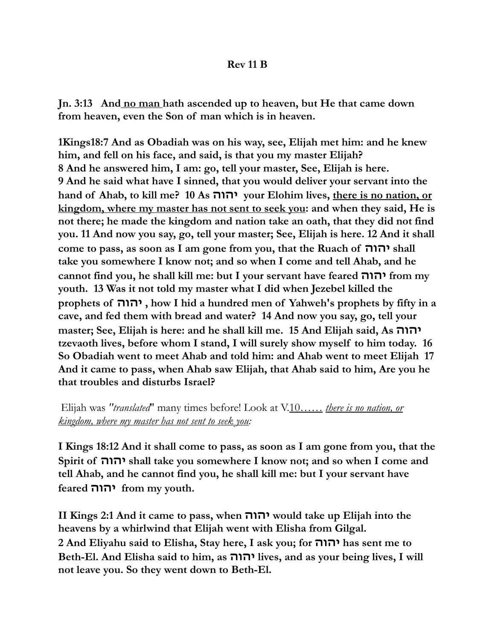## **Rev 11 B**

**Jn. 3:13 And no man hath ascended up to heaven, but He that came down from heaven, even the Son of man which is in heaven.** 

**1Kings18:7 And as Obadiah was on his way, see, Elijah met him: and he knew him, and fell on his face, and said, is that you my master Elijah? 8 And he answered him, I am: go, tell your master, See, Elijah is here. 9 And he said what have I sinned, that you would deliver your servant into the hand of Ahab, to kill me? 10 As יהוה your Elohim lives, there is no nation, or kingdom, where my master has not sent to seek you: and when they said, He is not there; he made the kingdom and nation take an oath, that they did not find you. 11 And now you say, go, tell your master; See, Elijah is here. 12 And it shall come to pass, as soon as I am gone from you, that the Ruach of יהוה shall take you somewhere I know not; and so when I come and tell Ahab, and he cannot find you, he shall kill me: but I your servant have feared יהוה from my youth. 13 Was it not told my master what I did when Jezebel killed the prophets of יהוה , how I hid a hundred men of Yahweh's prophets by fifty in a cave, and fed them with bread and water? 14 And now you say, go, tell your master; See, Elijah is here: and he shall kill me. 15 And Elijah said, As יהוה tzevaoth lives, before whom I stand, I will surely show myself to him today. 16 So Obadiah went to meet Ahab and told him: and Ahab went to meet Elijah 17 And it came to pass, when Ahab saw Elijah, that Ahab said to him, Are you he that troubles and disturbs Israel?** 

 Elijah was *"translated*" many times before! Look at V.10…… *there is no nation, or kingdom, where my master has not sent to seek you:*

**I Kings 18:12 And it shall come to pass, as soon as I am gone from you, that the Spirit of יהוה shall take you somewhere I know not; and so when I come and tell Ahab, and he cannot find you, he shall kill me: but I your servant have feared יהוה from my youth.** 

**II Kings 2:1 And it came to pass, when יהוה would take up Elijah into the heavens by a whirlwind that Elijah went with Elisha from Gilgal. 2 And Eliyahu said to Elisha, Stay here, I ask you; for יהוה has sent me to Beth-El. And Elisha said to him, as יהוה lives, and as your being lives, I will not leave you. So they went down to Beth-El.**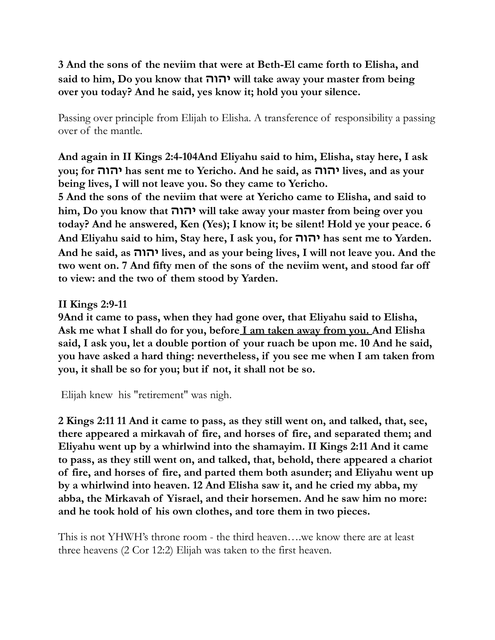**3 And the sons of the neviim that were at Beth-El came forth to Elisha, and said to him, Do you know that יהוה will take away your master from being over you today? And he said, yes know it; hold you your silence.**

Passing over principle from Elijah to Elisha. A transference of responsibility a passing over of the mantle.

**And again in II Kings 2:4-104And Eliyahu said to him, Elisha, stay here, I ask you; for יהוה has sent me to Yericho. And he said, as יהוה lives, and as your being lives, I will not leave you. So they came to Yericho.** 

**5 And the sons of the neviim that were at Yericho came to Elisha, and said to him, Do you know that יהוה will take away your master from being over you today? And he answered, Ken (Yes); I know it; be silent! Hold ye your peace. 6 And Eliyahu said to him, Stay here, I ask you, for יהוה has sent me to Yarden. And he said, as יהוה lives, and as your being lives, I will not leave you. And the two went on. 7 And fifty men of the sons of the neviim went, and stood far off to view: and the two of them stood by Yarden.** 

**II Kings 2:9-11** 

**9And it came to pass, when they had gone over, that Eliyahu said to Elisha, Ask me what I shall do for you, before I am taken away from you. And Elisha said, I ask you, let a double portion of your ruach be upon me. 10 And he said, you have asked a hard thing: nevertheless, if you see me when I am taken from you, it shall be so for you; but if not, it shall not be so.** 

Elijah knew his "retirement" was nigh.

**2 Kings 2:11 11 And it came to pass, as they still went on, and talked, that, see, there appeared a mirkavah of fire, and horses of fire, and separated them; and Eliyahu went up by a whirlwind into the shamayim. II Kings 2:11 And it came to pass, as they still went on, and talked, that, behold, there appeared a chariot of fire, and horses of fire, and parted them both asunder; and Eliyahu went up by a whirlwind into heaven. 12 And Elisha saw it, and he cried my abba, my abba, the Mirkavah of Yisrael, and their horsemen. And he saw him no more: and he took hold of his own clothes, and tore them in two pieces.**

This is not YHWH's throne room - the third heaven….we know there are at least three heavens (2 Cor 12:2) Elijah was taken to the first heaven.